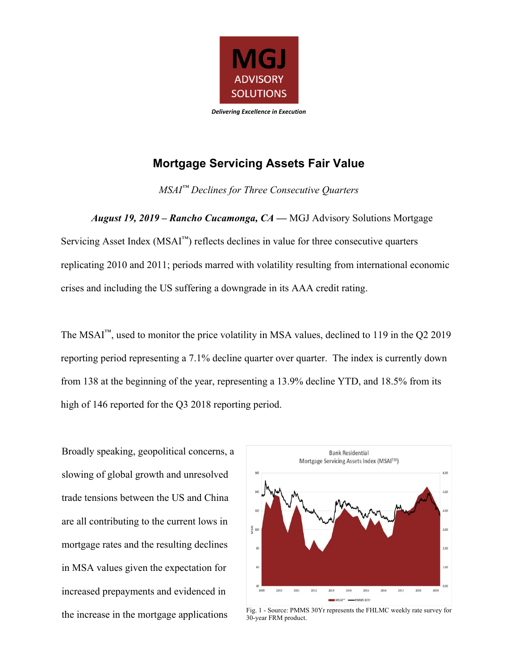

## **Mortgage Servicing Assets Fair Value**

*MSAI™ Declines for Three Consecutive Quarters* 

*August 19, 2019 – Rancho Cucamonga, CA —* MGJ Advisory Solutions Mortgage Servicing Asset Index  $(MSAI<sup>TM</sup>)$  reflects declines in value for three consecutive quarters replicating 2010 and 2011; periods marred with volatility resulting from international economic crises and including the US suffering a downgrade in its AAA credit rating.

The MSAI<sup>™</sup>, used to monitor the price volatility in MSA values, declined to 119 in the Q2 2019 reporting period representing a 7.1% decline quarter over quarter. The index is currently down from 138 at the beginning of the year, representing a 13.9% decline YTD, and 18.5% from its high of 146 reported for the Q3 2018 reporting period.

Broadly speaking, geopolitical concerns, a slowing of global growth and unresolved trade tensions between the US and China are all contributing to the current lows in mortgage rates and the resulting declines in MSA values given the expectation for increased prepayments and evidenced in



the increase in the mortgage applications Fig. 1 - Source: PMMS 30Yr represents the FHLMC weekly rate survey for 30-year FRM product.